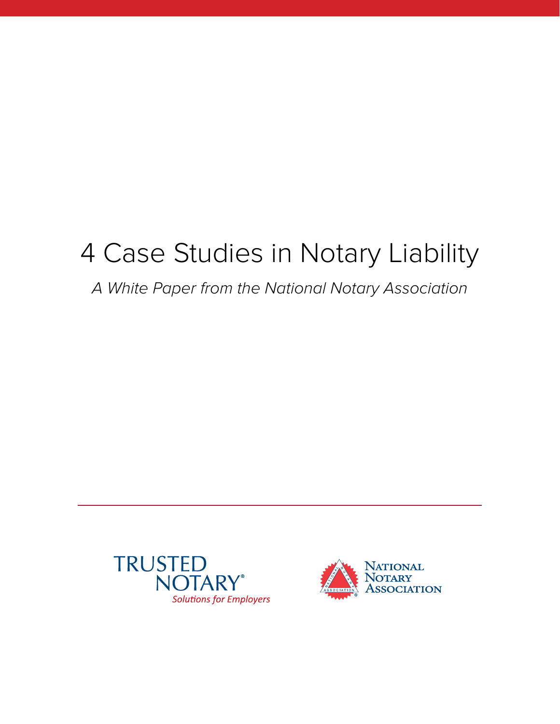# 4 Case Studies in Notary Liability

# A White Paper from the National Notary Association



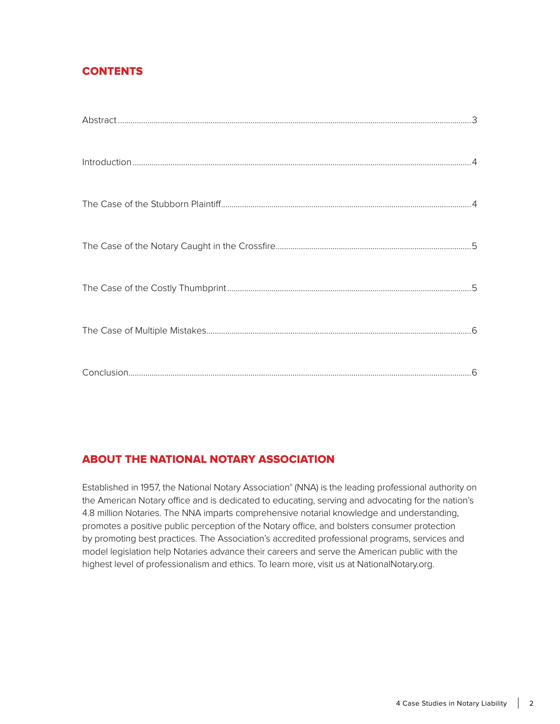# **CONTENTS**

# **ABOUT THE NATIONAL NOTARY ASSOCIATION**

Established in 1957, the National Notary Association® (NNA) is the leading professional authority on the American Notary office and is dedicated to educating, serving and advocating for the nation's 4.8 million Notaries. The NNA imparts comprehensive notarial knowledge and understanding, promotes a positive public perception of the Notary office, and bolsters consumer protection by promoting best practices. The Association's accredited professional programs, services and model legislation help Notaries advance their careers and serve the American public with the highest level of professionalism and ethics. To learn more, visit us at [NationalNotary.org.](http://NationalNotary.org)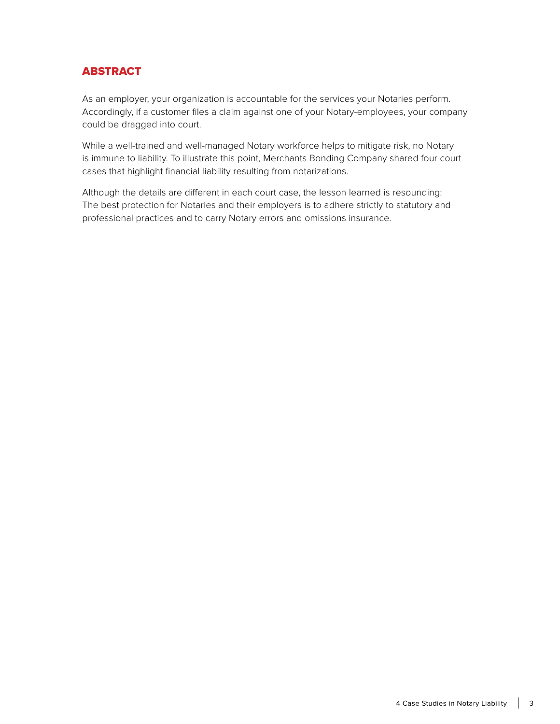# **ABSTRACT**

As an employer, your organization is accountable for the services your Notaries perform. Accordingly, if a customer files a claim against one of your Notary-employees, your company could be dragged into court.

While a well-trained and well-managed Notary workforce helps to mitigate risk, no Notary is immune to liability. To illustrate this point, Merchants Bonding Company shared four court cases that highlight financial liability resulting from notarizations.

Although the details are different in each court case, the lesson learned is resounding: The best protection for Notaries and their employers is to adhere strictly to statutory and professional practices and to carry Notary errors and omissions insurance.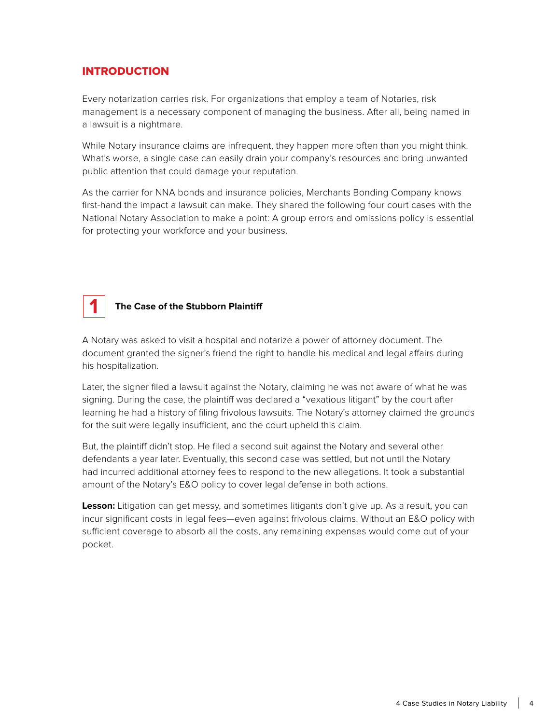### **INTRODUCTION**

Every notarization carries risk. For organizations that employ a team of Notaries, risk management is a necessary component of managing the business. After all, being named in a lawsuit is a nightmare.

While Notary insurance claims are infrequent, they happen more often than you might think. What's worse, a single case can easily drain your company's resources and bring unwanted public attention that could damage your reputation.

As the carrier for NNA bonds and insurance policies, Merchants Bonding Company knows first-hand the impact a lawsuit can make. They shared the following four court cases with the National Notary Association to make a point: A group errors and omissions policy is essential for protecting your workforce and your business.



#### **The Case of the Stubborn Plaintiff**

A Notary was asked to visit a hospital and notarize a power of attorney document. The document granted the signer's friend the right to handle his medical and legal affairs during his hospitalization.

Later, the signer filed a lawsuit against the Notary, claiming he was not aware of what he was signing. During the case, the plaintiff was declared a "vexatious litigant" by the court after learning he had a history of filing frivolous lawsuits. The Notary's attorney claimed the grounds for the suit were legally insufficient, and the court upheld this claim.

But, the plaintiff didn't stop. He filed a second suit against the Notary and several other defendants a year later. Eventually, this second case was settled, but not until the Notary had incurred additional attorney fees to respond to the new allegations. It took a substantial amount of the Notary's E&O policy to cover legal defense in both actions.

**Lesson:** Litigation can get messy, and sometimes litigants don't give up. As a result, you can incur significant costs in legal fees—even against frivolous claims. Without an E&O policy with sufficient coverage to absorb all the costs, any remaining expenses would come out of your pocket.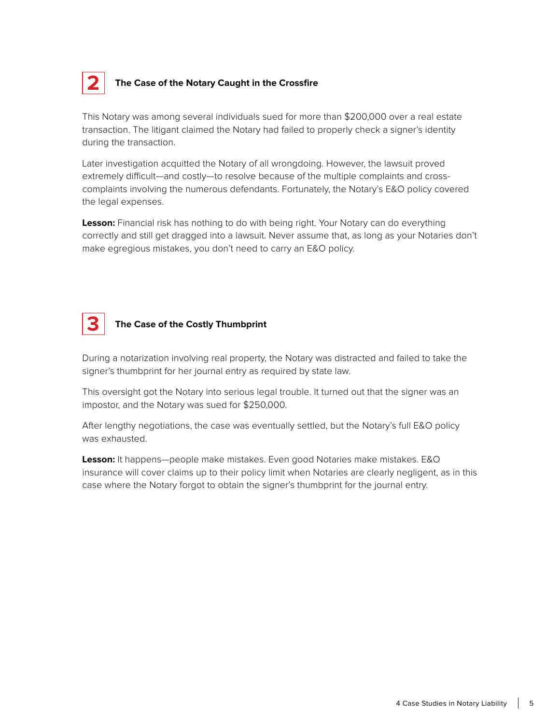

#### **The Case of the Notary Caught in the Crossfire**

This Notary was among several individuals sued for more than \$200,000 over a real estate transaction. The litigant claimed the Notary had failed to properly check a signer's identity during the transaction.

Later investigation acquitted the Notary of all wrongdoing. However, the lawsuit proved extremely difficult—and costly—to resolve because of the multiple complaints and crosscomplaints involving the numerous defendants. Fortunately, the Notary's E&O policy covered the legal expenses.

**Lesson:** Financial risk has nothing to do with being right. Your Notary can do everything correctly and still get dragged into a lawsuit. Never assume that, as long as your Notaries don't make egregious mistakes, you don't need to carry an E&O policy.



#### **The Case of the Costly Thumbprint**

During a notarization involving real property, the Notary was distracted and failed to take the signer's thumbprint for her journal entry as required by state law.

This oversight got the Notary into serious legal trouble. It turned out that the signer was an impostor, and the Notary was sued for \$250,000.

After lengthy negotiations, the case was eventually settled, but the Notary's full E&O policy was exhausted.

**Lesson:** It happens—people make mistakes. Even good Notaries make mistakes. E&O insurance will cover claims up to their policy limit when Notaries are clearly negligent, as in this case where the Notary forgot to obtain the signer's thumbprint for the journal entry.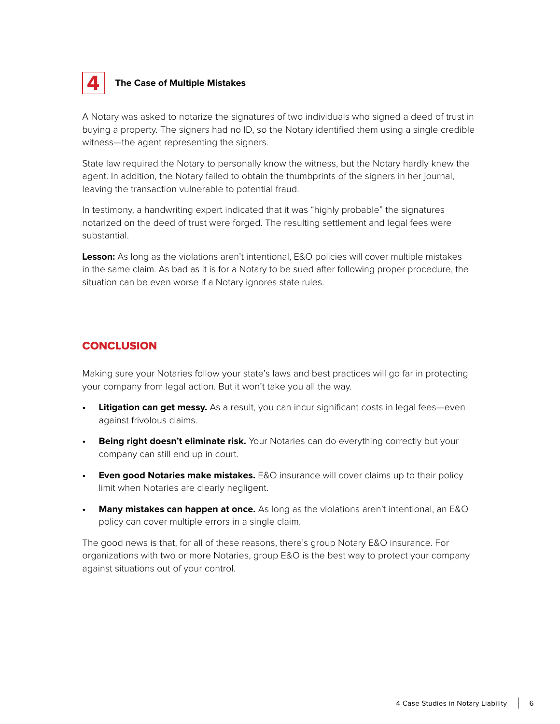

#### **The Case of Multiple Mistakes**

A Notary was asked to notarize the signatures of two individuals who signed a deed of trust in buying a property. The signers had no ID, so the Notary identified them using a single credible witness—the agent representing the signers.

State law required the Notary to personally know the witness, but the Notary hardly knew the agent. In addition, the Notary failed to obtain the thumbprints of the signers in her journal, leaving the transaction vulnerable to potential fraud.

In testimony, a handwriting expert indicated that it was "highly probable" the signatures notarized on the deed of trust were forged. The resulting settlement and legal fees were substantial.

**Lesson:** As long as the violations aren't intentional, E&O policies will cover multiple mistakes in the same claim. As bad as it is for a Notary to be sued after following proper procedure, the situation can be even worse if a Notary ignores state rules.

#### **CONCLUSION**

Making sure your Notaries follow your state's laws and best practices will go far in protecting your company from legal action. But it won't take you all the way.

- **Litigation can get messy.** As a result, you can incur significant costs in legal fees—even against frivolous claims.
- **Being right doesn't eliminate risk.** Your Notaries can do everything correctly but your company can still end up in court.
- **• Even good Notaries make mistakes.** E&O insurance will cover claims up to their policy limit when Notaries are clearly negligent.
- **• Many mistakes can happen at once.** As long as the violations aren't intentional, an E&O policy can cover multiple errors in a single claim.

The good news is that, for all of these reasons, there's group Notary E&O insurance. For organizations with two or more Notaries, group E&O is the best way to protect your company against situations out of your control.